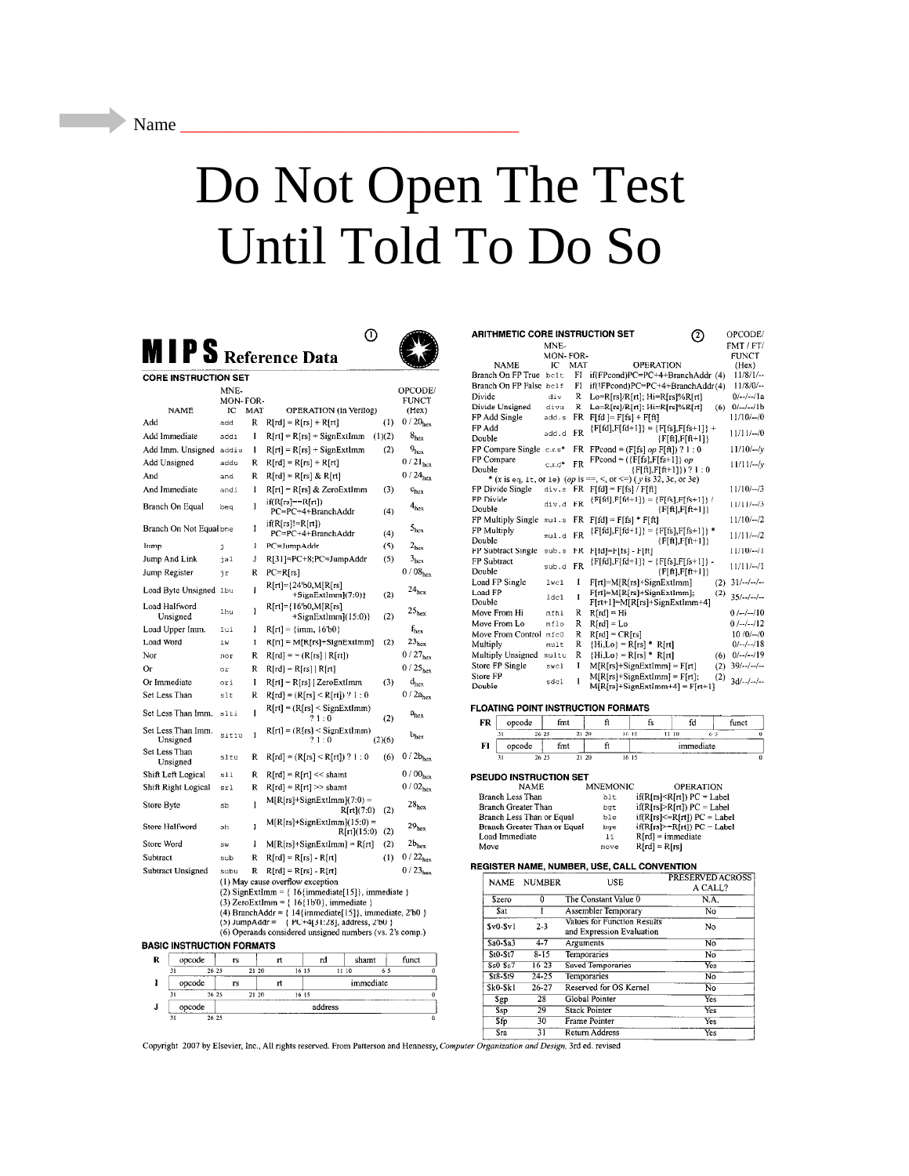## Do Not Open The Test Until Told To Do So

MIPS Reference Data



 $\odot$ 

| <b>CORE INSTRUCTION SET</b>             |           |       |                                                                                                                    |             |                          |  |  |  |  |
|-----------------------------------------|-----------|-------|--------------------------------------------------------------------------------------------------------------------|-------------|--------------------------|--|--|--|--|
|                                         | MNE-      |       |                                                                                                                    |             | OPCODE/                  |  |  |  |  |
|                                         | MON-FOR-  |       |                                                                                                                    |             | <b>FUNCT</b>             |  |  |  |  |
| <b>NAME</b>                             | ĩС        | MAT   | OPERATION (in Verilog)                                                                                             |             | (Hex)                    |  |  |  |  |
| Add                                     | add       | R     | $R[rd] = R[rs] + R[rt]$                                                                                            |             | $0/20_{hex}$<br>(1)      |  |  |  |  |
| Add Immediate                           | addi      | I     | $R[rt] = R[rs] + SignExtImm$                                                                                       | (1)(2)      | 8 <sub>hex</sub>         |  |  |  |  |
| Add Imm. Unsigned                       | addiu     | ı     | $R[rt] = R[rs] + SignExtlmm$                                                                                       |             | (2)<br>$9_{\rm hcx}$     |  |  |  |  |
| Add Unsigned                            | addu      | Ŕ     | $R[rd] = R[rs] + R[rt]$                                                                                            |             | $0/21_{\text{hex}}$      |  |  |  |  |
| And                                     | and       | R     | $R[rd] = R[rs] & R[rt]$                                                                                            |             | $0/24_{\text{hex}}$      |  |  |  |  |
| And Immediate                           | andi      | I     | R[rt] = R[rs] & ZeroExtImm                                                                                         |             | (3)<br>$c_{hex}$         |  |  |  |  |
| Branch On Equal                         | beq       | I     | $if(R[rs]=R[rt])$<br>PC=PC+4+BranchAddr                                                                            |             | $4_{hex}$<br>(4)         |  |  |  |  |
| Branch On Not Equal bne                 |           | Ī     | $if(R[rs]!=R[rt])$<br>PC=PC+4+BranchAddr                                                                           |             | $5_{\rm hex}$<br>(4)     |  |  |  |  |
| Jump                                    | ź.        | J     | PC=JumpAddr                                                                                                        |             | $2_{\text{hex}}$<br>(5)  |  |  |  |  |
| Jump And Link                           | jal       | J     | R[31]=PC+8;PC=JumpAddr                                                                                             |             | 3 <sub>hex</sub><br>(5)  |  |  |  |  |
| Jump Register                           | ήr        | R     | $PC=R[rs]$                                                                                                         |             | 0/08 <sub>hex</sub>      |  |  |  |  |
|                                         |           |       | $R[rt] = {24'b0,M[R[rs]}$                                                                                          |             |                          |  |  |  |  |
| Load Byte Unsigned 1bu<br>Load Halfword |           | İ     | (SignExtImm](7:0)}<br>R[rt]={16'b0,M[R[rs]                                                                         |             | $24_{\text{hex}}$<br>(2) |  |  |  |  |
| Unsigned                                | lhu       | Ĩ     | $+SignExtImm](15:0)$                                                                                               |             | 25 <sub>hex</sub><br>(2) |  |  |  |  |
| Load Upper Imm.                         | lui       | I     | $R[rt] = \{imm, 16'b0\}$                                                                                           |             | $f_{hex}$                |  |  |  |  |
| Load Word                               | 1 w       | I     | $R[\tau t] = M[R[r s]+SignExtImm]$                                                                                 |             | 23 <sub>hex</sub><br>(2) |  |  |  |  |
| Nor                                     | nor       | R     | $R[rd] = \sim (R[rs]   R[rt])$                                                                                     |             | $0/27_{\text{hex}}$      |  |  |  |  |
| Oг                                      | or        | R     | $R[rd] = R[rs]   R[rt]$                                                                                            |             | $0/25_{\text{hex}}$      |  |  |  |  |
| Or Immediate                            | ori       | I     | $R[rt] = R[rs]$ [ Zero ExtImm                                                                                      |             | (3)<br>$d_{hex}$         |  |  |  |  |
| Set Less Than                           | $s$ lt    | R     | $R[rd] = (R[rs] < R[rt]) ? 1 : 0$                                                                                  |             | $0/2a_{hex}$             |  |  |  |  |
| Set Less Than Imm.                      | slti      | Ī     | $R[rt] = (R[rs] <$ SignExtImm)<br>?1:0                                                                             |             | a <sub>hex</sub><br>(2)  |  |  |  |  |
| Set Less Than Imm.<br>Unsigned          | sitiu     | Ĭ     | $R[rt] = (R[rs] \leq$ SignExtImm)<br>?1:0                                                                          | (2)(6)      | $b_{hex}$                |  |  |  |  |
| Set Less Than<br>Unsigned               | sltu      | R     | $R[rd] = (R[rs] < R[rt]) ? 1 : 0$                                                                                  |             | $0/2b_{hex}$<br>(6)      |  |  |  |  |
| Shift Left Logical                      | s11       | R     | $R[rd] = R[rt] \ll \text{shamt}$                                                                                   |             | 0/00 <sub>hex</sub>      |  |  |  |  |
| Shift Right Logical                     | srl       | R     | $R[rd] = R[rt] >> shamt$                                                                                           |             | 0/02 <sub>hex</sub>      |  |  |  |  |
| Store Byte                              | sb        | Ī     | $M[R[rs] + SignExtImm[(7:0) =$                                                                                     | R[rt](7:0)  | $28_{hex}$<br>(2)        |  |  |  |  |
| Store Halfword                          | зh        | I     | $M[R[rs] + SignExtImm](15:0) =$                                                                                    | R[rt](15:0) | $29_{hex}$<br>(2)        |  |  |  |  |
| Store Word                              | <b>SW</b> | I     | $M[R[rs]+SignExtImm] = R[rt]$                                                                                      |             | (2)<br>$2b_{hex}$        |  |  |  |  |
| Subtract                                | sub       | R     | $R[rd] = R[rs] - R[rt]$                                                                                            |             | $0/22_{hex}$<br>(1)      |  |  |  |  |
| Subtract Unsigned                       | subu      | R     | $R[rd] = R[rs] - R[rt]$                                                                                            |             | $0/23_{\text{hex}}$      |  |  |  |  |
|                                         |           |       | (1) May cause overflow exception                                                                                   |             |                          |  |  |  |  |
|                                         |           |       | (2) SignExtImm = $\{ 16\}$ (immediate [15]}, immediate }                                                           |             |                          |  |  |  |  |
|                                         |           |       | (3) ZeroExtImm = $\{16\{1b'0\}$ , immediate $\}$                                                                   |             |                          |  |  |  |  |
|                                         |           |       | (4) BranchAddr = $\{14\}$ immediate $[15]$ , immediate, 2'b0 $\}$<br>(5) JumpAddr = { PC+4[31:28], address, 2'b0 } |             |                          |  |  |  |  |
|                                         |           |       | (6) Operands considered unsigned numbers (vs. 2's comp.)                                                           |             |                          |  |  |  |  |
| <b>BASIC INSTRUCTION FORMATS</b>        |           |       |                                                                                                                    |             |                          |  |  |  |  |
| R<br>opcode                             | гs        |       | rt<br>rd                                                                                                           | shamt       | funct                    |  |  |  |  |
| 31                                      | 26 25     | 21 20 | 16 15<br>11:10                                                                                                     | 65          | 0                        |  |  |  |  |
| I<br>opcode                             | rs        |       | rt                                                                                                                 | immediate   |                          |  |  |  |  |
| 31                                      | 26 25     | 21 20 | 16 15<br>0                                                                                                         |             |                          |  |  |  |  |
| J<br>opcode                             |           |       | address                                                                                                            |             |                          |  |  |  |  |
| 31                                      | 26 25     |       |                                                                                                                    |             | 0                        |  |  |  |  |

| <b>ARITHMETIC CORE INSTRUCTION SET</b><br>OPCODE/<br>2 |          |           |                                                                              |                           |  |  |  |
|--------------------------------------------------------|----------|-----------|------------------------------------------------------------------------------|---------------------------|--|--|--|
|                                                        | MNE-     |           |                                                                              | FMT/FT/                   |  |  |  |
|                                                        | MON FOR  |           |                                                                              | <b>FUNCT</b>              |  |  |  |
| <b>NAME</b>                                            | Ю        | MAT       | <b>OPERATION</b>                                                             | (Hex)                     |  |  |  |
| Branch On FP True                                      | belt     | FI        | if(FPcond)PC=PC+4+BranchAddr (4)                                             | $11/8/1/$ --              |  |  |  |
| Branch On FP False belf                                |          | FI        | if(!FPcond)PC=PC+4+BranchAddr(4)                                             | $11/8/0/$ --              |  |  |  |
| Divide                                                 | div      | R         | Lo=R[rs]/R[rt]; Hi=R[rs]%R[rt]                                               | $0/-/-/1a$                |  |  |  |
| Divide Unsigned                                        | divn     | R         | Lo=R[rs]/R[rt]; Hi=R[rs]%R[rt]<br>(6)                                        | $0/-/-/1b$                |  |  |  |
| FP Add Single                                          | add.s    | FR        | $Ffd$ ]= $F[fs]$ + $F[ft]$                                                   | $11/10/-0$                |  |  |  |
| FP Add<br>Double                                       | add.d    | <b>FR</b> | ${Ffd}, Ffd+1} = {Ffs}, Ffs+1} +$                                            | $11/11/-/0$               |  |  |  |
|                                                        |          | FR        | ${Fft}, Fft+1}$                                                              |                           |  |  |  |
| FP Compare Single c.x.s*<br>FP Compare                 |          |           | FPcond = $(F[fs] op F[ft]) ? 1 : 0$                                          | $11/10/-/v$               |  |  |  |
| Double                                                 | $cx.d^*$ | <b>FR</b> | $FPcond = (\{F[fs], F[fs+1]\} op$<br>$\{F[f_1], F[f_1+1]\})$ ? 1 : 0         | $11/11/-/y$               |  |  |  |
|                                                        |          |           | * (x is eq. 1t, or 1e) (op is = =, <, or <= ) (y is 32, 3c, or 3e)           |                           |  |  |  |
| FP Divide Single                                       | div.s    |           | $FR$ $Ffd$ ] = $F[fs] / F[ft]$                                               | $11/10/-/3$               |  |  |  |
| FP Divide                                              |          |           | ${F[fd], F[fd+1]} = {F[fs], F[fs+1]} /$                                      |                           |  |  |  |
| Double                                                 | div.d    | FR        | $\{Fftl.Ffft+11\}$                                                           | $11/11/-/3$               |  |  |  |
| FP Multiply Single                                     | mul.s    | FR        | $F[fd] = F[fs] * F[ft]$                                                      | $11/10/-/2$               |  |  |  |
| FP Multiply                                            |          |           | $\{Ffd], Ffd+1\} = \{F[fs], F[fs+1]\}$ *                                     |                           |  |  |  |
| Double                                                 | mul.d    | <b>FR</b> | {F[ft],F[ft+1]}                                                              | $11/11$ $\left(-2\right)$ |  |  |  |
| FP Subtract Single                                     | sub.s    | FR        | $F[fd]=F[fs]-F[ft]$                                                          | $11/10/-/1$               |  |  |  |
| FP Subtract                                            |          | <b>FR</b> | ${Ffd}, Ffd+1} = {F[fs], F[fs+1]}$ .                                         |                           |  |  |  |
| Double                                                 | sub.d    |           | ${Fft}, Fft+1}$                                                              | $11/11$ /--/1             |  |  |  |
| Load FP Single                                         | lwc1     | 1         | $F[rt] = M[R[rs] + SignExtImm]$<br>(2)                                       | $31/$ --/--/--            |  |  |  |
| Load FP                                                | ldc1     | I         | $F[rt] = M[R[rs] + SignExtImm];$<br>(2)                                      | $35/-/-/-$                |  |  |  |
| Double                                                 |          |           | $F[\tau t+1] = M[R[\tau s]+SignExtImm+4]$                                    |                           |  |  |  |
| Move From Hi                                           | mfhi     | R         | $R[rd] = Hi$                                                                 | $0$ /--/--/10             |  |  |  |
| Move From Lo                                           | mflo     | R         | $R[rd] = Lo$                                                                 | $0$ /--/--/12             |  |  |  |
| Move From Control mfc0                                 |          | R         | $R[rd] = CR[rs]$                                                             | $10/0/-/0$                |  |  |  |
| Multiply                                               | mult     | R         | ${Hi, Lo} = R[rs] * R[rt]$                                                   | $0/-/-/18$                |  |  |  |
| Multiply Unsigned                                      | multu    | R         | ${Hi, Lo} = R[rs] * R[rt]$<br>(6)                                            | $0/-/-/19$                |  |  |  |
| Store FP Single                                        | swc1     | L         | $M[R[rs]+SignExtImm] = F[rt]$<br>(2)                                         | $39/-/-/-$                |  |  |  |
| <b>Store FP</b><br>Double                              | sdc1     | Ī         | $M[R[rs] + SignExt[mm] = F[rt];$<br>(2)<br>$M[R[rs]+SignExtImm+4] = F[rt+1]$ | $3d/-1 - -$               |  |  |  |

## FLOATING POINT INSTRUCTION FORMATS

| FR | opcode | fmt            |       |       | td        | Smet.<br>$\cdots$ |
|----|--------|----------------|-------|-------|-----------|-------------------|
|    |        | 21 20<br>26 25 | 16 15 |       | 11 10     | 65                |
| Fl | opcode | fint           |       |       | immediate |                   |
|    |        | 26 25          | 21 20 | 16 15 |           |                   |

 $\frac{1}{2}$   $\frac{1}{2}$   $\frac{1}{2}$   $\frac{1}{2}$   $\frac{1}{2}$   $\frac{1}{2}$   $\frac{1}{2}$   $\frac{1}{2}$   $\frac{1}{2}$ 

PSEUDO INSTRUCTION SET

| NAME.                        | MNEMONIC | <b>OPERATION</b>                  |
|------------------------------|----------|-----------------------------------|
| Branch Less Than             | blt      | $if(Rfrs]$                        |
| Branch Greater Than          | bat      | $if(R[rs] > R[rt]) PC = Label$    |
| Branch Less Than or Equal    | ble      | $if(R[rs] \leq R[rt]) PC = Label$ |
| Branch Greater Than or Equal | bae      | $if(R[rs] > R[rt]) PC = Label$    |
| Load Immediate               | 11       | $R[rd]$ = immediate               |
| Move                         | move     | $R[rd] = R[rs]$                   |

## REGISTER NAME, NUMBER, USE, CALL CONVENTION

| <b>NAME</b> | <b>NUMBER</b> | USE                                                      | <b>PRESERVED ACROSS</b><br>A CALL? |
|-------------|---------------|----------------------------------------------------------|------------------------------------|
| Szero       | Ü             | The Constant Value 0                                     | N.A.                               |
| \$at        |               | <b>Assembler Temporary</b>                               | $\overline{N}$ o                   |
| $sv0-Sv1$   | $2 - 3$       | Values for Function Results<br>and Expression Evaluation | No                                 |
| $Sa0-Sa3$   | $4 - 7$       | Arguments                                                | No                                 |
| $St0-St7$   | $8 - 15$      | <b>Temporaries</b>                                       | No                                 |
| $$s0-Ss7$   | 16-23         | Saved Temporaries                                        | <b>Yes</b>                         |
| $$t8-$t9$   | 24-25         | Temporaries                                              | No                                 |
| $Sk0-Sk1$   | 26-27         | Reserved for OS Kernel                                   | N <sub>o</sub>                     |
| \$gp        | 28            | Global Pointer                                           | Yes                                |
| Ssp         | 29            | <b>Stack Pointer</b>                                     | <b>Yes</b>                         |
| Sfp         | 30            | Frame Pointer                                            | Yes                                |
| Sra         | 31            | <b>Return Address</b>                                    | Yes                                |

Sta 31 Return Address<br>Copyright 2007 by Elsevier, Inc., All rights reserved. From Patterson and Hennessy, Computer Organization and Design, 3rd ed. revised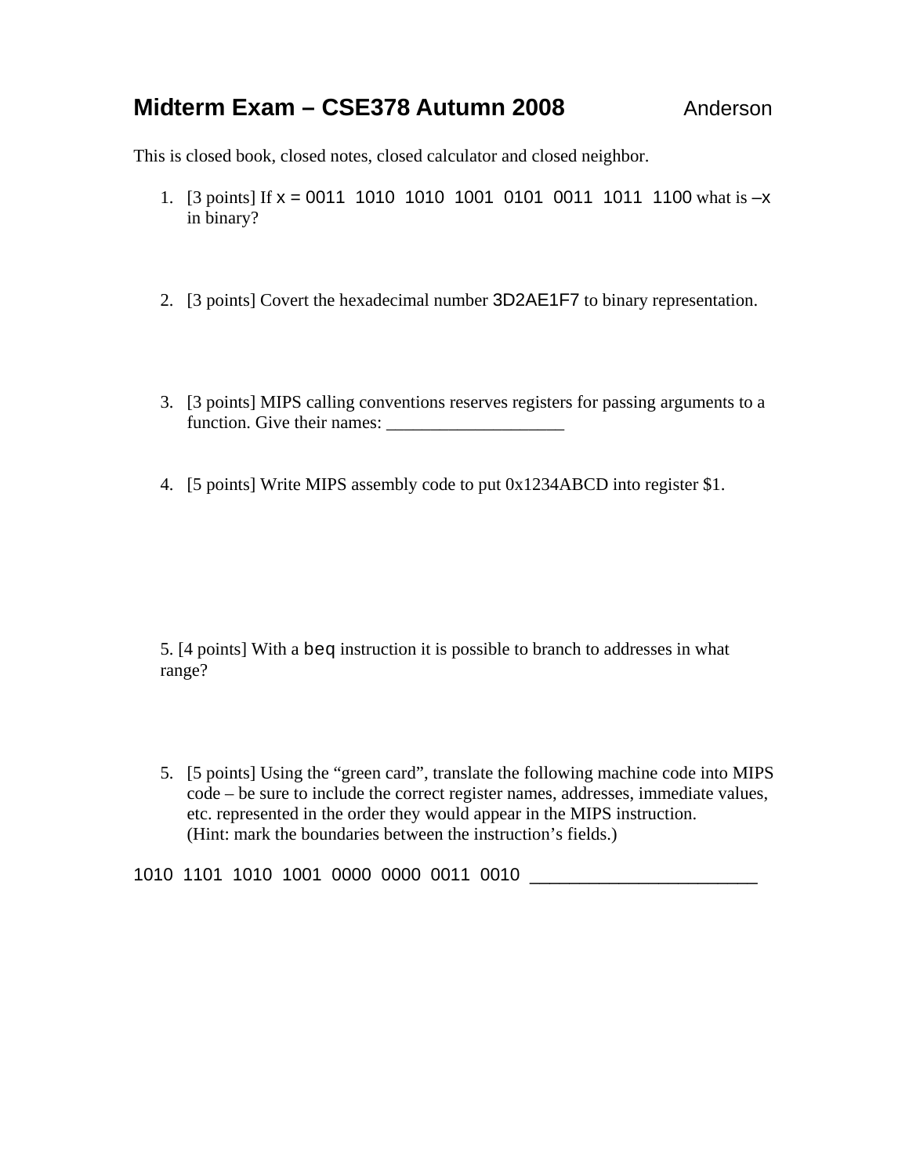## **Midterm Exam – CSE378 Autumn 2008** Anderson

This is closed book, closed notes, closed calculator and closed neighbor.

- 1. [3 points] If  $x = 0011$  1010 1010 1001 0101 0011 1011 1100 what is  $-x$ in binary?
- 2. [3 points] Covert the hexadecimal number 3D2AE1F7 to binary representation.
- 3. [3 points] MIPS calling conventions reserves registers for passing arguments to a function. Give their names: \_\_\_\_\_\_\_\_\_\_\_\_\_\_\_\_\_\_\_\_
- 4. [5 points] Write MIPS assembly code to put 0x1234ABCD into register \$1.

5. [4 points] With a beq instruction it is possible to branch to addresses in what range?

5. [5 points] Using the "green card", translate the following machine code into MIPS code – be sure to include the correct register names, addresses, immediate values, etc. represented in the order they would appear in the MIPS instruction. (Hint: mark the boundaries between the instruction's fields.)

1010 1101 1010 1001 0000 0000 0011 0010 \_\_\_\_\_\_\_\_\_\_\_\_\_\_\_\_\_\_\_\_\_\_\_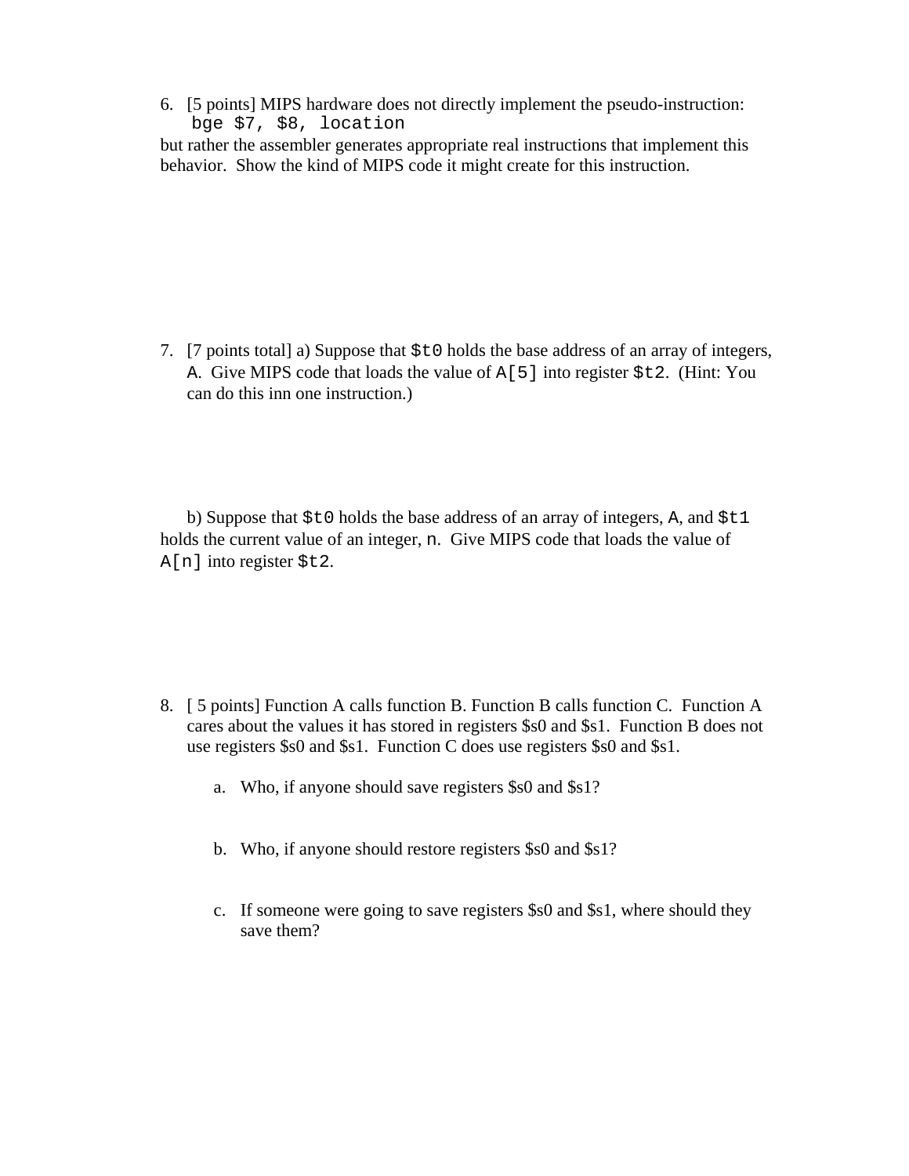6. [5 points] MIPS hardware does not directly implement the pseudo-instruction: bge \$7, \$8, location

but rather the assembler generates appropriate real instructions that implement this behavior. Show the kind of MIPS code it might create for this instruction.

7. [7 points total] a) Suppose that \$t0 holds the base address of an array of integers, A. Give MIPS code that loads the value of A[5] into register \$t2. (Hint: You can do this inn one instruction.)

b) Suppose that  $$t0$  holds the base address of an array of integers, A, and  $$t1$ holds the current value of an integer, n. Give MIPS code that loads the value of A[n] into register \$t2.

- 8. [ 5 points] Function A calls function B. Function B calls function C. Function A cares about the values it has stored in registers \$s0 and \$s1. Function B does not use registers \$s0 and \$s1. Function C does use registers \$s0 and \$s1.
	- a. Who, if anyone should save registers \$s0 and \$s1?
	- b. Who, if anyone should restore registers \$s0 and \$s1?
	- c. If someone were going to save registers \$s0 and \$s1, where should they save them?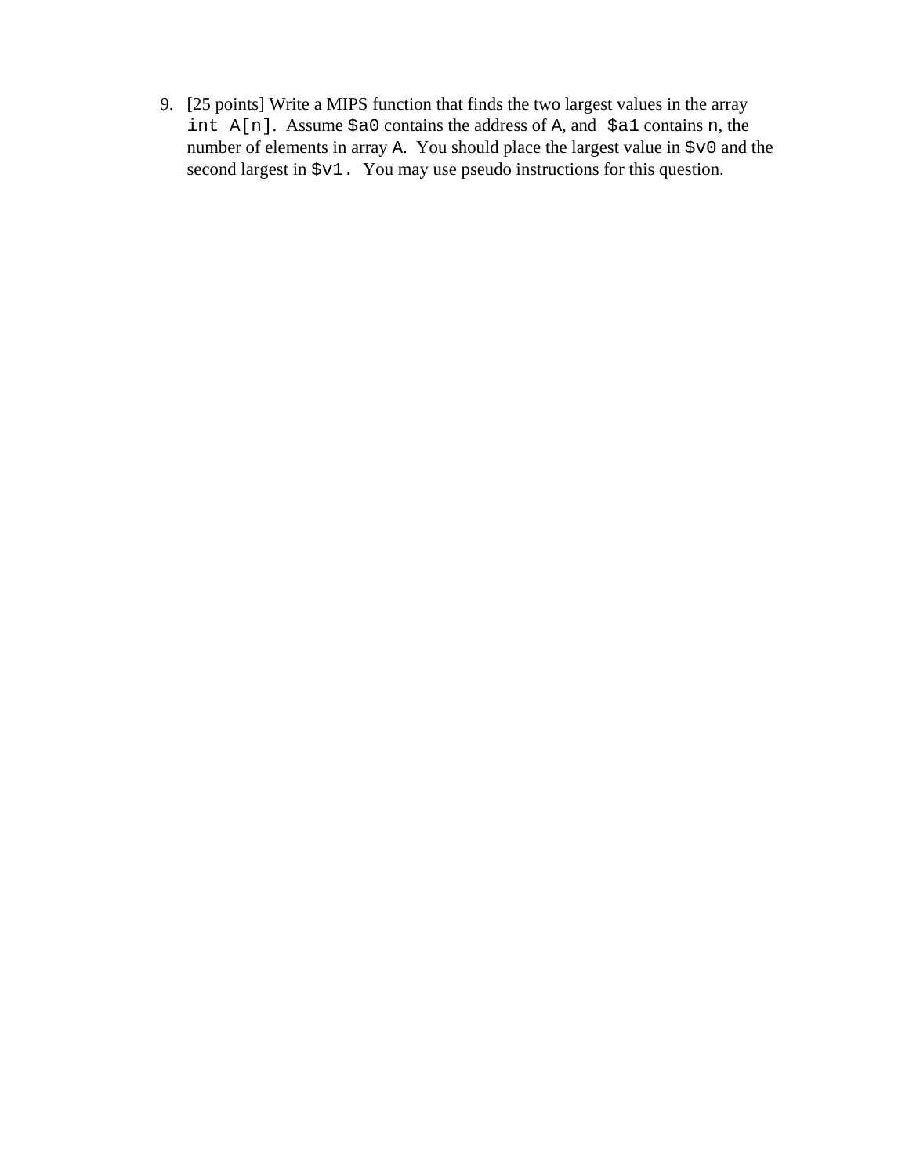9. [25 points] Write a MIPS function that finds the two largest values in the array int A[n]. Assume \$a0 contains the address of A, and \$a1 contains n, the number of elements in array A. You should place the largest value in \$v0 and the second largest in  $\zeta v1$ . You may use pseudo instructions for this question.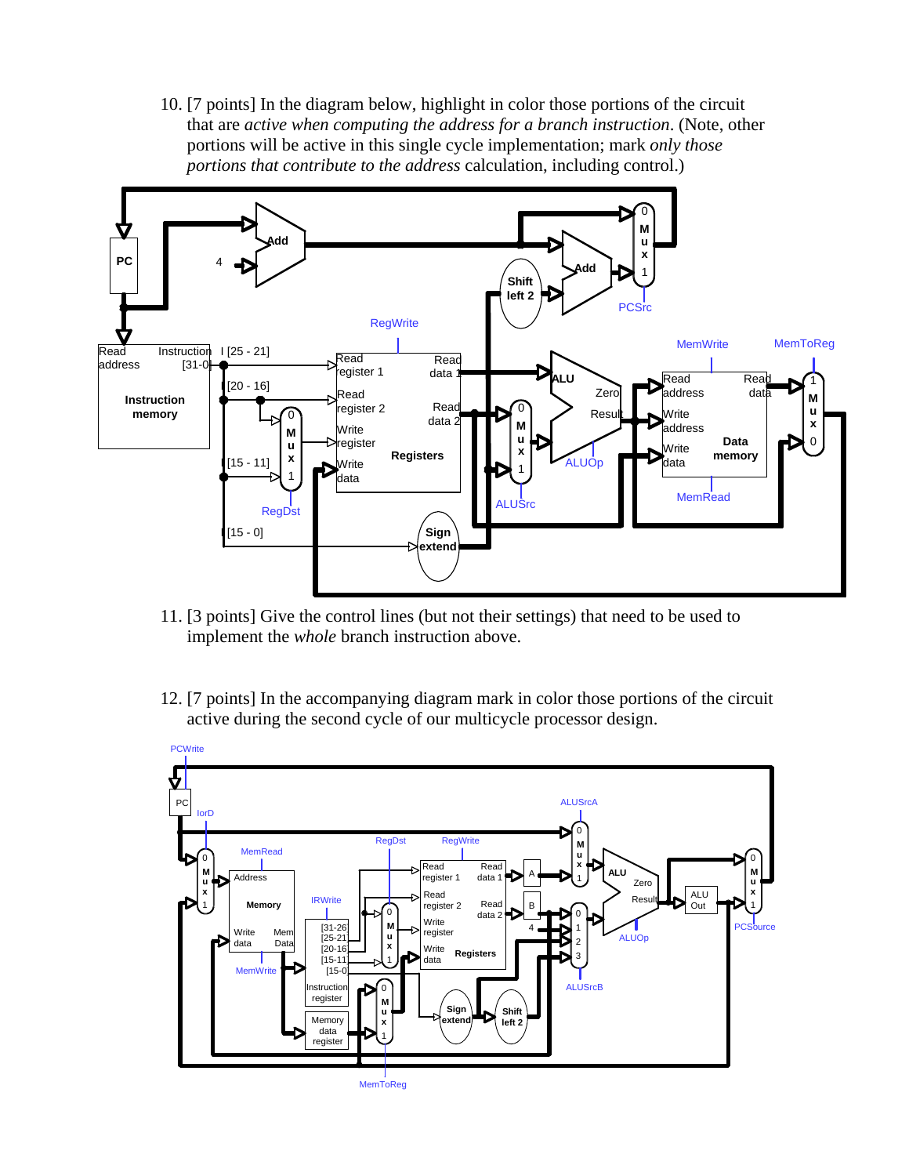10. [7 points] In the diagram below, highlight in color those portions of the circuit that are *active when computing the address for a branch instruction*. (Note, other portions will be active in this single cycle implementation; mark *only those portions that contribute to the address* calculation, including control.)



- 11. [3 points] Give the control lines (but not their settings) that need to be used to implement the *whole* branch instruction above.
- 12. [7 points] In the accompanying diagram mark in color those portions of the circuit active during the second cycle of our multicycle processor design.